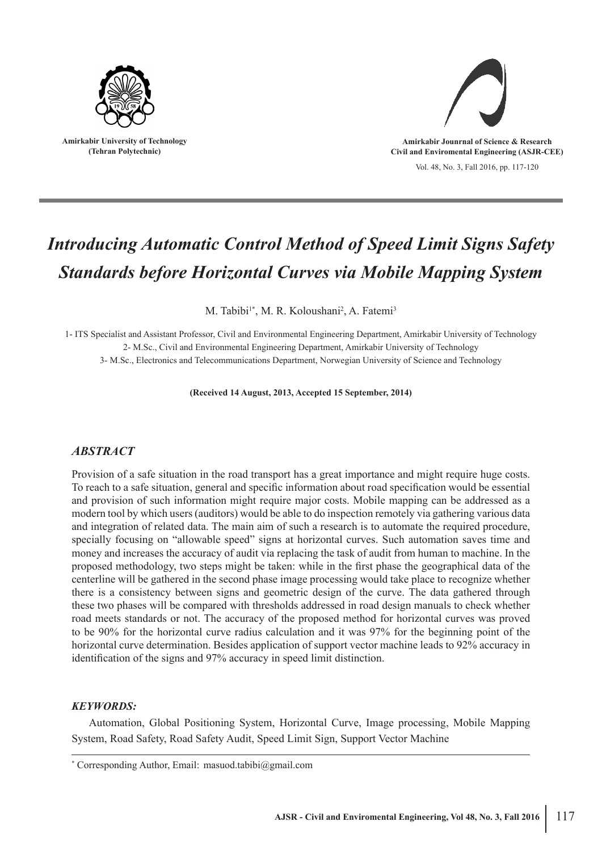

**Amirkabir University of Technology (Tehran Polytechnic)**



Vol. 48, No. 3, Fall 2016, pp. 117-120

# *Introducing Automatic Control Method of Speed Limit Signs Safety Standards before Horizontal Curves via Mobile Mapping System*

M. Tabibi<sup>1\*</sup>, M. R. Koloushani<sup>2</sup>, A. Fatemi<sup>3</sup>

1- ITS Specialist and Assistant Professor, Civil and Environmental Engineering Department, Amirkabir University of Technology 2- M.Sc., Civil and Environmental Engineering Department, Amirkabir University of Technology

3- M.Sc., Electronics and Telecommunications Department, Norwegian University of Science and Technology

**(Received 14 August, 2013, Accepted 15 September, 2014)**

## *ABSTRACT*

Provision of a safe situation in the road transport has a great importance and might require huge costs. To reach to a safe situation, general and specific information about road specification would be essential and provision of such information might require major costs. Mobile mapping can be addressed as a modern tool by which users (auditors) would be able to do inspection remotely via gathering various data and integration of related data. The main aim of such a research is to automate the required procedure, specially focusing on "allowable speed" signs at horizontal curves. Such automation saves time and money and increases the accuracy of audit via replacing the task of audit from human to machine. In the proposed methodology, two steps might be taken: while in the first phase the geographical data of the centerline will be gathered in the second phase image processing would take place to recognize whether there is a consistency between signs and geometric design of the curve. The data gathered through these two phases will be compared with thresholds addressed in road design manuals to check whether road meets standards or not. The accuracy of the proposed method for horizontal curves was proved to be 90% for the horizontal curve radius calculation and it was 97% for the beginning point of the horizontal curve determination. Besides application of support vector machine leads to 92% accuracy in identification of the signs and 97% accuracy in speed limit distinction.

#### *KEYWORDS:*

Automation, Global Positioning System, Horizontal Curve, Image processing, Mobile Mapping System, Road Safety, Road Safety Audit, Speed Limit Sign, Support Vector Machine

<sup>\*</sup> Corresponding Author, Email: masuod.tabibi@gmail.com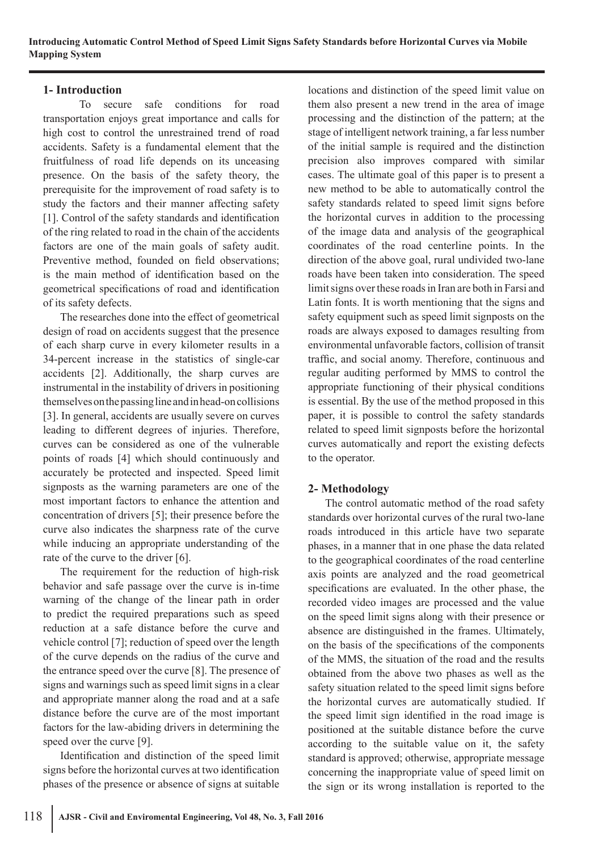## **1- Introduction**

To secure safe conditions for road transportation enjoys great importance and calls for high cost to control the unrestrained trend of road accidents. Safety is a fundamental element that the fruitfulness of road life depends on its unceasing presence. On the basis of the safety theory, the prerequisite for the improvement of road safety is to study the factors and their manner affecting safety [1]. Control of the safety standards and identification of the ring related to road in the chain of the accidents factors are one of the main goals of safety audit. Preventive method, founded on field observations; is the main method of identification based on the geometrical specifications of road and identification of its safety defects.

The researches done into the effect of geometrical design of road on accidents suggest that the presence of each sharp curve in every kilometer results in a 34-percent increase in the statistics of single-car accidents [2]. Additionally, the sharp curves are instrumental in the instability of drivers in positioning themselves on the passing line and in head-on collisions [3]. In general, accidents are usually severe on curves leading to different degrees of injuries. Therefore, curves can be considered as one of the vulnerable points of roads [4] which should continuously and accurately be protected and inspected. Speed limit signposts as the warning parameters are one of the most important factors to enhance the attention and concentration of drivers [5]; their presence before the curve also indicates the sharpness rate of the curve while inducing an appropriate understanding of the rate of the curve to the driver [6].

The requirement for the reduction of high-risk behavior and safe passage over the curve is in-time warning of the change of the linear path in order to predict the required preparations such as speed reduction at a safe distance before the curve and vehicle control [7]; reduction of speed over the length of the curve depends on the radius of the curve and the entrance speed over the curve [8]. The presence of signs and warnings such as speed limit signs in a clear and appropriate manner along the road and at a safe distance before the curve are of the most important factors for the law-abiding drivers in determining the speed over the curve [9].

Identification and distinction of the speed limit signs before the horizontal curves at two identification phases of the presence or absence of signs at suitable

locations and distinction of the speed limit value on them also present a new trend in the area of image processing and the distinction of the pattern; at the stage of intelligent network training, a far less number of the initial sample is required and the distinction precision also improves compared with similar cases. The ultimate goal of this paper is to present a new method to be able to automatically control the safety standards related to speed limit signs before the horizontal curves in addition to the processing of the image data and analysis of the geographical coordinates of the road centerline points. In the direction of the above goal, rural undivided two-lane roads have been taken into consideration. The speed limit signs over these roads in Iran are both in Farsi and Latin fonts. It is worth mentioning that the signs and safety equipment such as speed limit signposts on the roads are always exposed to damages resulting from environmental unfavorable factors, collision of transit traffic, and social anomy. Therefore, continuous and regular auditing performed by MMS to control the appropriate functioning of their physical conditions is essential. By the use of the method proposed in this paper, it is possible to control the safety standards related to speed limit signposts before the horizontal curves automatically and report the existing defects to the operator.

# **2- Methodology**

The control automatic method of the road safety standards over horizontal curves of the rural two-lane roads introduced in this article have two separate phases, in a manner that in one phase the data related to the geographical coordinates of the road centerline axis points are analyzed and the road geometrical specifications are evaluated. In the other phase, the recorded video images are processed and the value on the speed limit signs along with their presence or absence are distinguished in the frames. Ultimately, on the basis of the specifications of the components of the MMS, the situation of the road and the results obtained from the above two phases as well as the safety situation related to the speed limit signs before the horizontal curves are automatically studied. If the speed limit sign identified in the road image is positioned at the suitable distance before the curve according to the suitable value on it, the safety standard is approved; otherwise, appropriate message concerning the inappropriate value of speed limit on the sign or its wrong installation is reported to the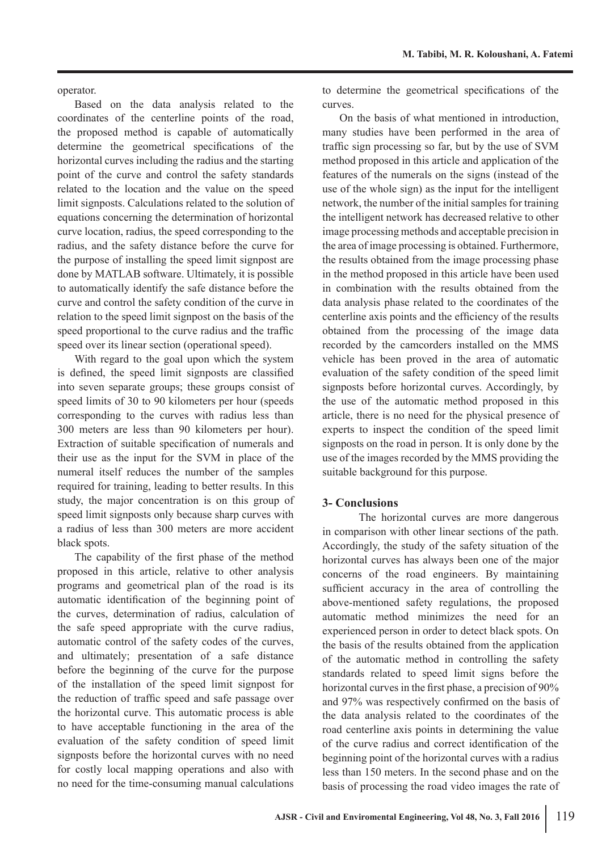operator.

Based on the data analysis related to the coordinates of the centerline points of the road, the proposed method is capable of automatically determine the geometrical specifications of the horizontal curves including the radius and the starting point of the curve and control the safety standards related to the location and the value on the speed limit signposts. Calculations related to the solution of equations concerning the determination of horizontal curve location, radius, the speed corresponding to the radius, and the safety distance before the curve for the purpose of installing the speed limit signpost are done by MATLAB software. Ultimately, it is possible to automatically identify the safe distance before the curve and control the safety condition of the curve in relation to the speed limit signpost on the basis of the speed proportional to the curve radius and the traffic speed over its linear section (operational speed).

With regard to the goal upon which the system is defined, the speed limit signposts are classified into seven separate groups; these groups consist of speed limits of 30 to 90 kilometers per hour (speeds corresponding to the curves with radius less than 300 meters are less than 90 kilometers per hour). Extraction of suitable specification of numerals and their use as the input for the SVM in place of the numeral itself reduces the number of the samples required for training, leading to better results. In this study, the major concentration is on this group of speed limit signposts only because sharp curves with a radius of less than 300 meters are more accident black spots.

The capability of the first phase of the method proposed in this article, relative to other analysis programs and geometrical plan of the road is its automatic identification of the beginning point of the curves, determination of radius, calculation of the safe speed appropriate with the curve radius, automatic control of the safety codes of the curves, and ultimately; presentation of a safe distance before the beginning of the curve for the purpose of the installation of the speed limit signpost for the reduction of traffic speed and safe passage over the horizontal curve. This automatic process is able to have acceptable functioning in the area of the evaluation of the safety condition of speed limit signposts before the horizontal curves with no need for costly local mapping operations and also with no need for the time-consuming manual calculations

to determine the geometrical specifications of the curves.

On the basis of what mentioned in introduction, many studies have been performed in the area of traffic sign processing so far, but by the use of SVM method proposed in this article and application of the features of the numerals on the signs (instead of the use of the whole sign) as the input for the intelligent network, the number of the initial samples for training the intelligent network has decreased relative to other image processing methods and acceptable precision in the area of image processing is obtained. Furthermore, the results obtained from the image processing phase in the method proposed in this article have been used in combination with the results obtained from the data analysis phase related to the coordinates of the centerline axis points and the efficiency of the results obtained from the processing of the image data recorded by the camcorders installed on the MMS vehicle has been proved in the area of automatic evaluation of the safety condition of the speed limit signposts before horizontal curves. Accordingly, by the use of the automatic method proposed in this article, there is no need for the physical presence of experts to inspect the condition of the speed limit signposts on the road in person. It is only done by the use of the images recorded by the MMS providing the suitable background for this purpose.

#### **3- Conclusions**

The horizontal curves are more dangerous in comparison with other linear sections of the path. Accordingly, the study of the safety situation of the horizontal curves has always been one of the major concerns of the road engineers. By maintaining sufficient accuracy in the area of controlling the above-mentioned safety regulations, the proposed automatic method minimizes the need for an experienced person in order to detect black spots. On the basis of the results obtained from the application of the automatic method in controlling the safety standards related to speed limit signs before the horizontal curves in the first phase, a precision of 90% and 97% was respectively confirmed on the basis of the data analysis related to the coordinates of the road centerline axis points in determining the value of the curve radius and correct identification of the beginning point of the horizontal curves with a radius less than 150 meters. In the second phase and on the basis of processing the road video images the rate of